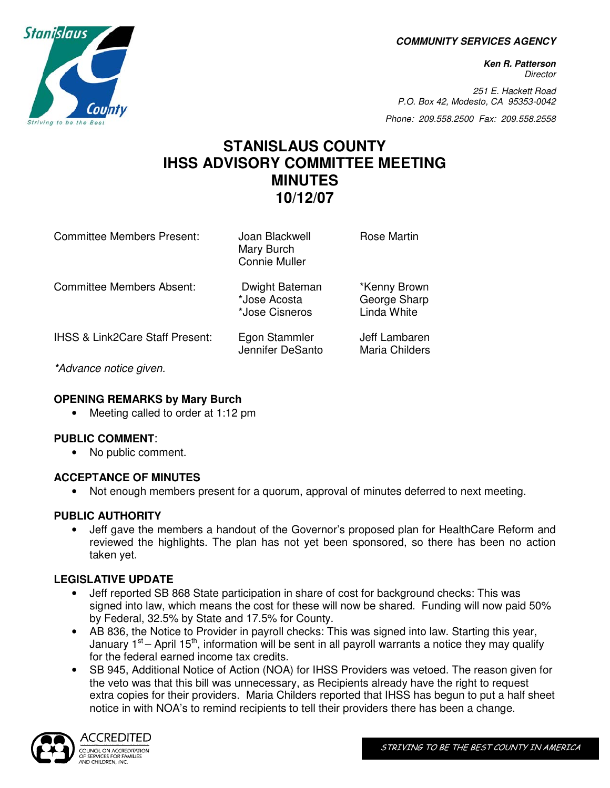**COMMUNITY SERVICES AGENCY** 

**Ken R. Patterson Director** 

251 E. Hackett Road P.O. Box 42, Modesto, CA 95353-0042

Phone: 209.558.2500 Fax: 209.558.2558

### **STANISLAUS COUNTY IHSS ADVISORY COMMITTEE MEETING MINUTES 10/12/07**

| <b>Committee Members Present:</b> | Joan Blackwell<br>Mary Burch<br><b>Connie Muller</b> | <b>Rose Martin</b>                          |
|-----------------------------------|------------------------------------------------------|---------------------------------------------|
| <b>Committee Members Absent:</b>  | Dwight Bateman<br>*Jose Acosta<br>*Jose Cisneros     | *Kenny Brown<br>George Sharp<br>Linda White |
| IHSS & Link2Care Staff Present:   | Egon Stammler<br>Jennifer DeSanto                    | Jeff Lambaren<br>Maria Childers             |
| $*A$ duanga nation giyan          |                                                      |                                             |

\*Advance notice given.

#### **OPENING REMARKS by Mary Burch**

• Meeting called to order at 1:12 pm

#### **PUBLIC COMMENT**:

• No public comment.

#### **ACCEPTANCE OF MINUTES**

• Not enough members present for a quorum, approval of minutes deferred to next meeting.

#### **PUBLIC AUTHORITY**

• Jeff gave the members a handout of the Governor's proposed plan for HealthCare Reform and reviewed the highlights. The plan has not yet been sponsored, so there has been no action taken yet.

#### **LEGISLATIVE UPDATE**

- Jeff reported SB 868 State participation in share of cost for background checks: This was signed into law, which means the cost for these will now be shared. Funding will now paid 50% by Federal, 32.5% by State and 17.5% for County.
- AB 836, the Notice to Provider in payroll checks: This was signed into law. Starting this year, January  $1^{st}$  – April 15<sup>th</sup>, information will be sent in all payroll warrants a notice they may qualify for the federal earned income tax credits.
- SB 945, Additional Notice of Action (NOA) for IHSS Providers was vetoed. The reason given for the veto was that this bill was unnecessary, as Recipients already have the right to request extra copies for their providers. Maria Childers reported that IHSS has begun to put a half sheet notice in with NOA's to remind recipients to tell their providers there has been a change.



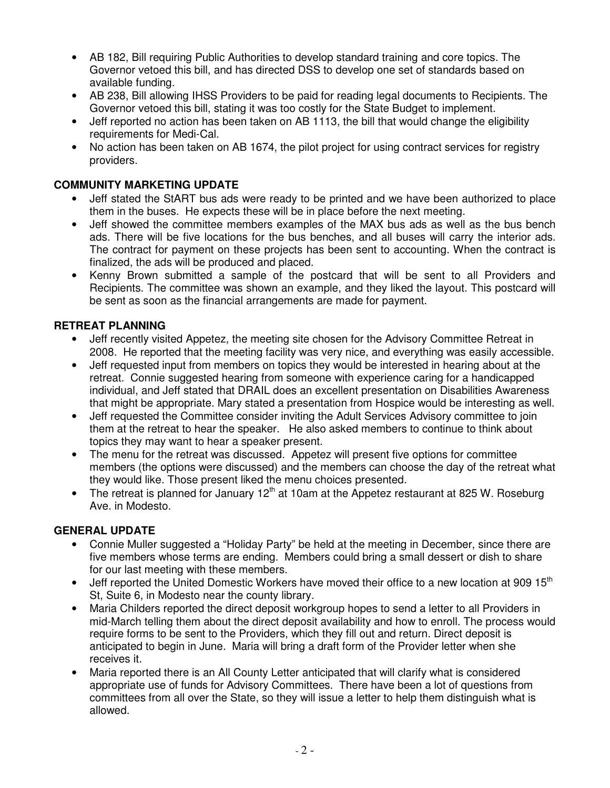- AB 182, Bill requiring Public Authorities to develop standard training and core topics. The Governor vetoed this bill, and has directed DSS to develop one set of standards based on available funding.
- AB 238, Bill allowing IHSS Providers to be paid for reading legal documents to Recipients. The Governor vetoed this bill, stating it was too costly for the State Budget to implement.
- Jeff reported no action has been taken on AB 1113, the bill that would change the eligibility requirements for Medi-Cal.
- No action has been taken on AB 1674, the pilot project for using contract services for registry providers.

#### **COMMUNITY MARKETING UPDATE**

- Jeff stated the StART bus ads were ready to be printed and we have been authorized to place them in the buses. He expects these will be in place before the next meeting.
- Jeff showed the committee members examples of the MAX bus ads as well as the bus bench ads. There will be five locations for the bus benches, and all buses will carry the interior ads. The contract for payment on these projects has been sent to accounting. When the contract is finalized, the ads will be produced and placed.
- Kenny Brown submitted a sample of the postcard that will be sent to all Providers and Recipients. The committee was shown an example, and they liked the layout. This postcard will be sent as soon as the financial arrangements are made for payment.

#### **RETREAT PLANNING**

- Jeff recently visited Appetez, the meeting site chosen for the Advisory Committee Retreat in 2008. He reported that the meeting facility was very nice, and everything was easily accessible.
- Jeff requested input from members on topics they would be interested in hearing about at the retreat. Connie suggested hearing from someone with experience caring for a handicapped individual, and Jeff stated that DRAIL does an excellent presentation on Disabilities Awareness that might be appropriate. Mary stated a presentation from Hospice would be interesting as well.
- Jeff requested the Committee consider inviting the Adult Services Advisory committee to join them at the retreat to hear the speaker. He also asked members to continue to think about topics they may want to hear a speaker present.
- The menu for the retreat was discussed. Appetez will present five options for committee members (the options were discussed) and the members can choose the day of the retreat what they would like. Those present liked the menu choices presented.
- The retreat is planned for January  $12<sup>th</sup>$  at 10am at the Appetez restaurant at 825 W. Roseburg Ave. in Modesto.

#### **GENERAL UPDATE**

- Connie Muller suggested a "Holiday Party" be held at the meeting in December, since there are five members whose terms are ending. Members could bring a small dessert or dish to share for our last meeting with these members.
- Jeff reported the United Domestic Workers have moved their office to a new location at 909  $15<sup>th</sup>$ St, Suite 6, in Modesto near the county library.
- Maria Childers reported the direct deposit workgroup hopes to send a letter to all Providers in mid-March telling them about the direct deposit availability and how to enroll. The process would require forms to be sent to the Providers, which they fill out and return. Direct deposit is anticipated to begin in June. Maria will bring a draft form of the Provider letter when she receives it.
- Maria reported there is an All County Letter anticipated that will clarify what is considered appropriate use of funds for Advisory Committees. There have been a lot of questions from committees from all over the State, so they will issue a letter to help them distinguish what is allowed.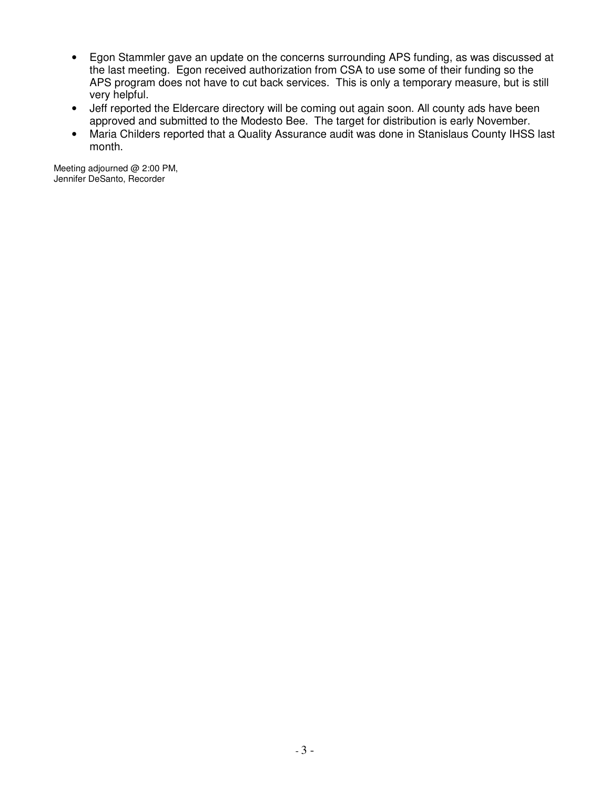- Egon Stammler gave an update on the concerns surrounding APS funding, as was discussed at the last meeting. Egon received authorization from CSA to use some of their funding so the APS program does not have to cut back services. This is only a temporary measure, but is still very helpful.
- Jeff reported the Eldercare directory will be coming out again soon. All county ads have been approved and submitted to the Modesto Bee. The target for distribution is early November.
- Maria Childers reported that a Quality Assurance audit was done in Stanislaus County IHSS last month.

Meeting adjourned @ 2:00 PM, Jennifer DeSanto, Recorder